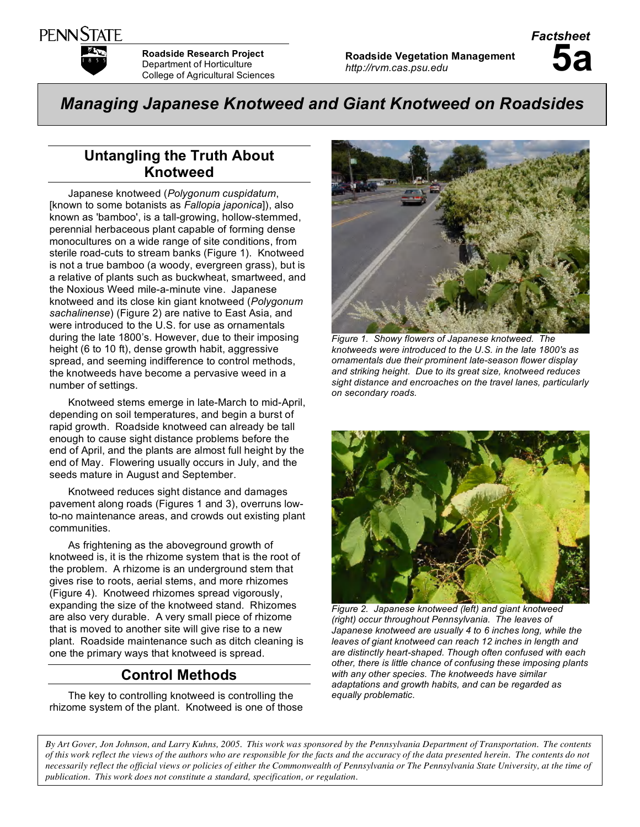

**Roadside Research Project** Department of Horticulture College of Agricultural Sciences

*Managing Japanese Knotweed and Giant Knotweed on Roadsides*

# **Untangling the Truth About Knotweed**

Japanese knotweed (*Polygonum cuspidatum*, [known to some botanists as *Fallopia japonica*]), also known as 'bamboo', is a tall-growing, hollow-stemmed, perennial herbaceous plant capable of forming dense monocultures on a wide range of site conditions, from sterile road-cuts to stream banks (Figure 1). Knotweed is not a true bamboo (a woody, evergreen grass), but is a relative of plants such as buckwheat, smartweed, and the Noxious Weed mile-a-minute vine. Japanese knotweed and its close kin giant knotweed (*Polygonum sachalinense*) (Figure 2) are native to East Asia, and were introduced to the U.S. for use as ornamentals during the late 1800's. However, due to their imposing height (6 to 10 ft), dense growth habit, aggressive spread, and seeming indifference to control methods, the knotweeds have become a pervasive weed in a number of settings.

Knotweed stems emerge in late-March to mid-April, depending on soil temperatures, and begin a burst of rapid growth. Roadside knotweed can already be tall enough to cause sight distance problems before the end of April, and the plants are almost full height by the end of May. Flowering usually occurs in July, and the seeds mature in August and September.

Knotweed reduces sight distance and damages pavement along roads (Figures 1 and 3), overruns lowto-no maintenance areas, and crowds out existing plant communities.

As frightening as the aboveground growth of knotweed is, it is the rhizome system that is the root of the problem. A rhizome is an underground stem that gives rise to roots, aerial stems, and more rhizomes (Figure 4). Knotweed rhizomes spread vigorously, expanding the size of the knotweed stand. Rhizomes are also very durable. A very small piece of rhizome that is moved to another site will give rise to a new plant. Roadside maintenance such as ditch cleaning is one the primary ways that knotweed is spread.

# **Control Methods**

The key to controlling knotweed is controlling the rhizome system of the plant. Knotweed is one of those



*Figure 1. Showy flowers of Japanese knotweed. The knotweeds were introduced to the U.S. in the late 1800's as ornamentals due their prominent late-season flower display and striking height. Due to its great size, knotweed reduces sight distance and encroaches on the travel lanes, particularly on secondary roads.*



*Figure 2. Japanese knotweed (left) and giant knotweed (right) occur throughout Pennsylvania. The leaves of Japanese knotweed are usually 4 to 6 inches long, while the leaves of giant knotweed can reach 12 inches in length and are distinctly heart-shaped. Though often confused with each other, there is little chance of confusing these imposing plants with any other species. The knotweeds have similar adaptations and growth habits, and can be regarded as equally problematic.*

By Art Gover, Jon Johnson, and Larry Kuhns, 2005. This work was sponsored by the Pennsylvania Department of Transportation. The contents of this work reflect the views of the authors who are responsible for the facts and the accuracy of the data presented herein. The contents do not necessarily reflect the official views or policies of either the Commonwealth of Pennsylvania or The Pennsylvania State University, at the time of *publication. This work does not constitute a standard, specification, or regulation.*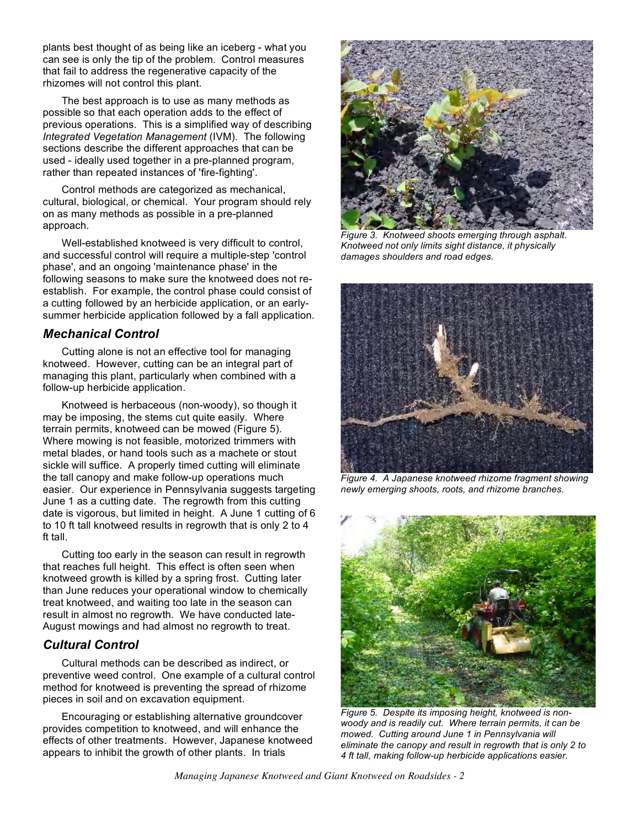plants best thought of as being like an iceberg - what you can see is only the tip of the problem. Control measures that fail to address the regenerative capacity of the rhizomes will not control this plant.

The best approach is to use as many methods as possible so that each operation adds to the effect of previous operations. This is a simplified way of describing *Integrated Vegetation Management* (IVM). The following sections describe the different approaches that can be used - ideally used together in a pre-planned program, rather than repeated instances of 'fire-fighting'.

Control methods are categorized as mechanical, cultural, biological, or chemical. Your program should rely on as many methods as possible in a pre-planned approach.

Well-established knotweed is very difficult to control, and successful control will require a multiple-step 'control phase', and an ongoing 'maintenance phase' in the following seasons to make sure the knotweed does not reestablish. For example, the control phase could consist of a cutting followed by an herbicide application, or an earlysummer herbicide application followed by a fall application.

## *Mechanical Control*

Cutting alone is not an effective tool for managing knotweed. However, cutting can be an integral part of managing this plant, particularly when combined with a follow-up herbicide application.

Knotweed is herbaceous (non-woody), so though it may be imposing, the stems cut quite easily. Where terrain permits, knotweed can be mowed (Figure 5). Where mowing is not feasible, motorized trimmers with metal blades, or hand tools such as a machete or stout sickle will suffice. A properly timed cutting will eliminate the tall canopy and make follow-up operations much easier. Our experience in Pennsylvania suggests targeting June 1 as a cutting date. The regrowth from this cutting date is vigorous, but limited in height. A June 1 cutting of 6 to 10 ft tall knotweed results in regrowth that is only 2 to 4 ft tall.

Cutting too early in the season can result in regrowth that reaches full height. This effect is often seen when knotweed growth is killed by a spring frost. Cutting later than June reduces your operational window to chemically treat knotweed, and waiting too late in the season can result in almost no regrowth. We have conducted late-August mowings and had almost no regrowth to treat.

## *Cultural Control*

Cultural methods can be described as indirect, or preventive weed control. One example of a cultural control method for knotweed is preventing the spread of rhizome pieces in soil and on excavation equipment.

Encouraging or establishing alternative groundcover provides competition to knotweed, and will enhance the effects of other treatments. However, Japanese knotweed appears to inhibit the growth of other plants. In trials



*Figure 3. Knotweed shoots emerging through asphalt. Knotweed not only limits sight distance, it physically damages shoulders and road edges.*



*Figure 4. A Japanese knotweed rhizome fragment showing newly emerging shoots, roots, and rhizome branches.*



*Figure 5. Despite its imposing height, knotweed is nonwoody and is readily cut. Where terrain permits, it can be mowed. Cutting around June 1 in Pennsylvania will eliminate the canopy and result in regrowth that is only 2 to 4 ft tall, making follow-up herbicide applications easier.*

*Managing Japanese Knotweed and Giant Knotweed on Roadsides - 2*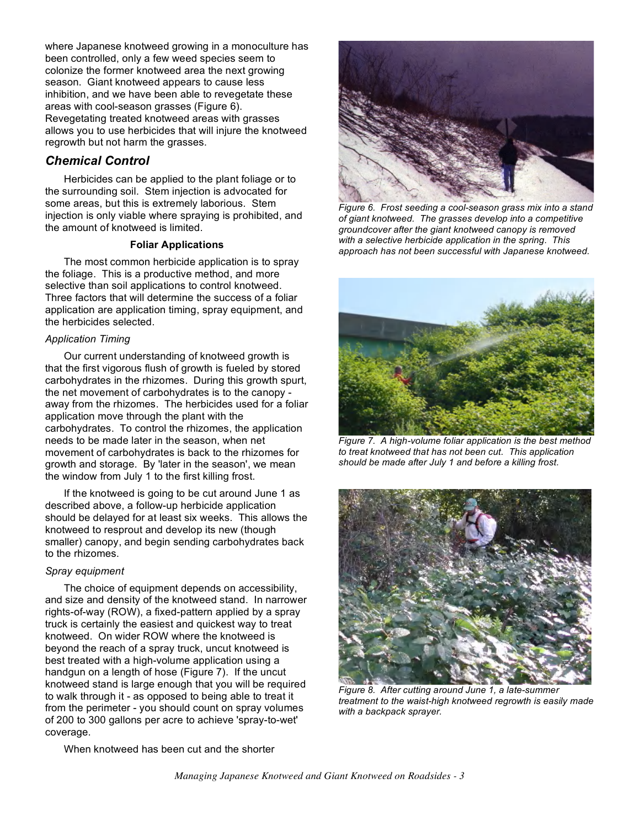where Japanese knotweed growing in a monoculture has been controlled, only a few weed species seem to colonize the former knotweed area the next growing season. Giant knotweed appears to cause less inhibition, and we have been able to revegetate these areas with cool-season grasses (Figure 6). Revegetating treated knotweed areas with grasses allows you to use herbicides that will injure the knotweed regrowth but not harm the grasses.

## *Chemical Control*

Herbicides can be applied to the plant foliage or to the surrounding soil. Stem injection is advocated for some areas, but this is extremely laborious. Stem injection is only viable where spraying is prohibited, and the amount of knotweed is limited.

#### **Foliar Applications**

The most common herbicide application is to spray the foliage. This is a productive method, and more selective than soil applications to control knotweed. Three factors that will determine the success of a foliar application are application timing, spray equipment, and the herbicides selected.

### *Application Timing*

Our current understanding of knotweed growth is that the first vigorous flush of growth is fueled by stored carbohydrates in the rhizomes. During this growth spurt, the net movement of carbohydrates is to the canopy away from the rhizomes. The herbicides used for a foliar application move through the plant with the carbohydrates. To control the rhizomes, the application needs to be made later in the season, when net movement of carbohydrates is back to the rhizomes for growth and storage. By 'later in the season', we mean the window from July 1 to the first killing frost.

If the knotweed is going to be cut around June 1 as described above, a follow-up herbicide application should be delayed for at least six weeks. This allows the knotweed to resprout and develop its new (though smaller) canopy, and begin sending carbohydrates back to the rhizomes.

### *Spray equipment*

The choice of equipment depends on accessibility, and size and density of the knotweed stand. In narrower rights-of-way (ROW), a fixed-pattern applied by a spray truck is certainly the easiest and quickest way to treat knotweed. On wider ROW where the knotweed is beyond the reach of a spray truck, uncut knotweed is best treated with a high-volume application using a handgun on a length of hose (Figure 7). If the uncut knotweed stand is large enough that you will be required to walk through it - as opposed to being able to treat it from the perimeter - you should count on spray volumes of 200 to 300 gallons per acre to achieve 'spray-to-wet' coverage.



*Figure 6. Frost seeding a cool-season grass mix into a stand of giant knotweed. The grasses develop into a competitive groundcover after the giant knotweed canopy is removed with a selective herbicide application in the spring. This approach has not been successful with Japanese knotweed.*



*Figure 7. A high-volume foliar application is the best method to treat knotweed that has not been cut. This application should be made after July 1 and before a killing frost.*



*Figure 8. After cutting around June 1, a late-summer treatment to the waist-high knotweed regrowth is easily made with a backpack sprayer.*

When knotweed has been cut and the shorter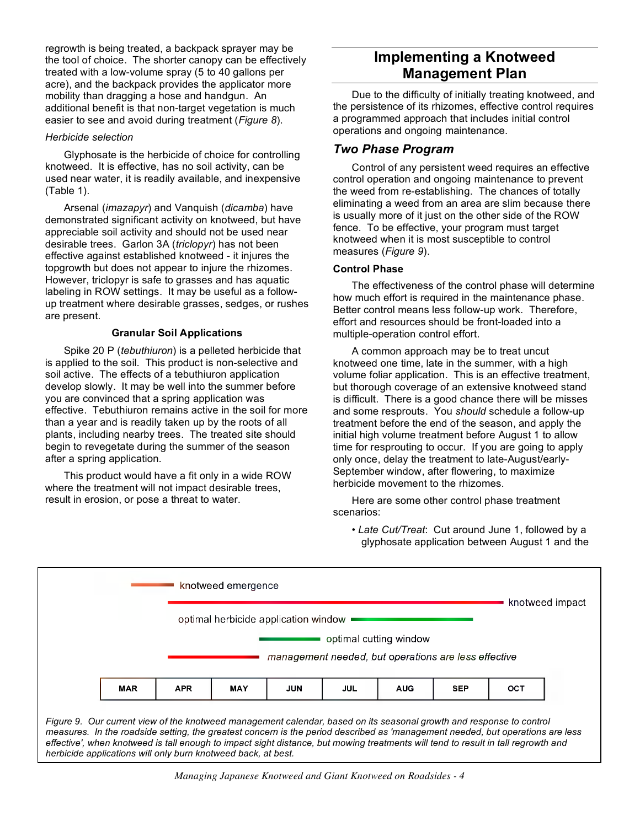regrowth is being treated, a backpack sprayer may be the tool of choice. The shorter canopy can be effectively treated with a low-volume spray (5 to 40 gallons per acre), and the backpack provides the applicator more mobility than dragging a hose and handgun. An additional benefit is that non-target vegetation is much easier to see and avoid during treatment (*Figure 8*).

#### *Herbicide selection*

Glyphosate is the herbicide of choice for controlling knotweed. It is effective, has no soil activity, can be used near water, it is readily available, and inexpensive (Table 1).

Arsenal (*imazapyr*) and Vanquish (*dicamba*) have demonstrated significant activity on knotweed, but have appreciable soil activity and should not be used near desirable trees. Garlon 3A (*triclopyr*) has not been effective against established knotweed - it injures the topgrowth but does not appear to injure the rhizomes. However, triclopyr is safe to grasses and has aquatic labeling in ROW settings. It may be useful as a followup treatment where desirable grasses, sedges, or rushes are present.

### **Granular Soil Applications**

Spike 20 P (*tebuthiuron*) is a pelleted herbicide that is applied to the soil. This product is non-selective and soil active. The effects of a tebuthiuron application develop slowly. It may be well into the summer before you are convinced that a spring application was effective. Tebuthiuron remains active in the soil for more than a year and is readily taken up by the roots of all plants, including nearby trees. The treated site should begin to revegetate during the summer of the season after a spring application.

This product would have a fit only in a wide ROW where the treatment will not impact desirable trees, result in erosion, or pose a threat to water.

# **Implementing a Knotweed Management Plan**

Due to the difficulty of initially treating knotweed, and the persistence of its rhizomes, effective control requires a programmed approach that includes initial control operations and ongoing maintenance.

# *Two Phase Program*

Control of any persistent weed requires an effective control operation and ongoing maintenance to prevent the weed from re-establishing. The chances of totally eliminating a weed from an area are slim because there is usually more of it just on the other side of the ROW fence. To be effective, your program must target knotweed when it is most susceptible to control measures (*Figure 9*).

## **Control Phase**

The effectiveness of the control phase will determine how much effort is required in the maintenance phase. Better control means less follow-up work. Therefore, effort and resources should be front-loaded into a multiple-operation control effort.

A common approach may be to treat uncut knotweed one time, late in the summer, with a high volume foliar application. This is an effective treatment, but thorough coverage of an extensive knotweed stand is difficult. There is a good chance there will be misses and some resprouts. You *should* schedule a follow-up treatment before the end of the season, and apply the initial high volume treatment before August 1 to allow time for resprouting to occur. If you are going to apply only once, delay the treatment to late-August/early-September window, after flowering, to maximize herbicide movement to the rhizomes.

Here are some other control phase treatment scenarios:

• *Late Cut/Treat*: Cut around June 1, followed by a glyphosate application between August 1 and the



Figure 9. Our current view of the knotweed management calendar, based on its seasonal growth and response to control measures. In the roadside setting, the greatest concern is the period described as 'management needed, but operations are less effective', when knotweed is tall enough to impact sight distance, but mowing treatments will tend to result in tall regrowth and *herbicide applications will only burn knotweed back, at best.*